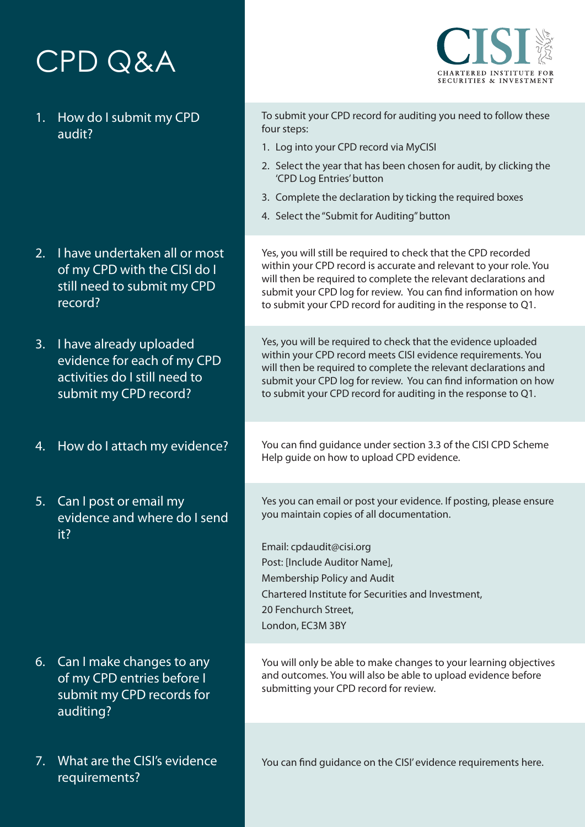## CPD Q&A



- 2. I have undertaken all or most of my CPD with the CISI do I still need to submit my CPD record?
- 3. I have already uploaded evidence for each of my CPD activities do I still need to submit my CPD record?
- 4. How do I attach my evidence?
- 5. Can I post or email my evidence and where do I send it?

- 6. Can I make changes to any of my CPD entries before I submit my CPD records for auditing?
- 7. What are the CISI's evidence requirements?

To submit your CPD record for auditing you need to follow these four steps:

**TERED INSTITUTE FOR SECURITIES & INVESTMENT** 

- 1. Log into your CPD record via MyCISI
- 2. Select the year that has been chosen for audit, by clicking the 'CPD Log Entries' button
- 3. Complete the declaration by ticking the required boxes
- 4. Select the "Submit for Auditing" button

Yes, you will still be required to check that the CPD recorded within your CPD record is accurate and relevant to your role. You will then be required to complete the relevant declarations and submit your CPD log for review. You can find information on how to submit your CPD record for auditing in the response to Q1.

Yes, you will be required to check that the evidence uploaded within your CPD record meets CISI evidence requirements. You will then be required to complete the relevant declarations and submit your CPD log for review. You can find information on how to submit your CPD record for auditing in the response to Q1.

[You can find guidance under section 3.3 of the CISI CPD Scheme](https://www.cisi.org/cisiweb2/docs/default-source/cisi-website/membership/mandatory-cpd/cpd-scheme-guide-2017-final-06-april-2017.pdf?sfvrsn=0)  Help guide on how to upload CPD evidence.

Yes you can email or post your evidence. If posting, please ensure you maintain copies of all documentation.

Email: cpdaudit@cisi.org Post: [Include Auditor Name], Membership Policy and Audit Chartered Institute for Securities and Investment, 20 Fenchurch Street, London, EC3M 3BY

You will only be able to make changes to your learning objectives and outcomes. You will also be able to upload evidence before submitting your CPD record for review.

You can find guidance on the CISI' evidence requirements [here](https://www.cisi.org/cisiweb2/docs/default-source/cisi-website/membership/factsheets/acceptable.pdf?sfvrsn=2).